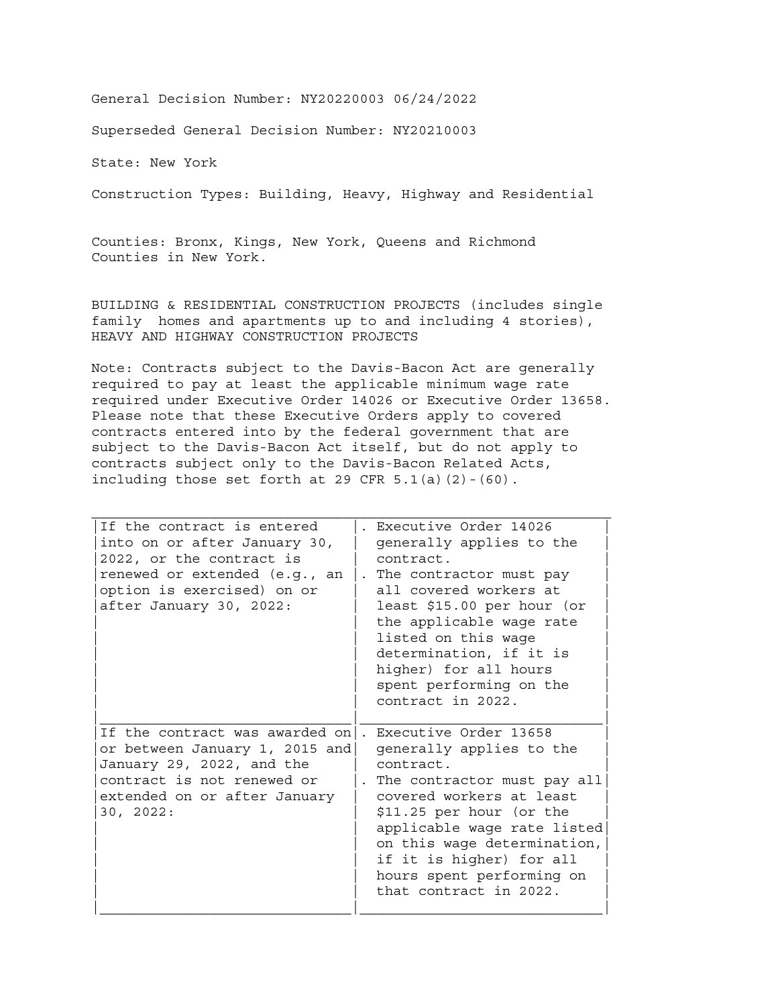General Decision Number: NY20220003 06/24/2022

Superseded General Decision Number: NY20210003

State: New York

Construction Types: Building, Heavy, Highway and Residential

Counties: Bronx, Kings, New York, Queens and Richmond Counties in New York.

BUILDING & RESIDENTIAL CONSTRUCTION PROJECTS (includes single family homes and apartments up to and including 4 stories), HEAVY AND HIGHWAY CONSTRUCTION PROJECTS

Note: Contracts subject to the Davis-Bacon Act are generally required to pay at least the applicable minimum wage rate required under Executive Order 14026 or Executive Order 13658. Please note that these Executive Orders apply to covered contracts entered into by the federal government that are subject to the Davis-Bacon Act itself, but do not apply to contracts subject only to the Davis-Bacon Related Acts, including those set forth at 29 CFR  $5.1(a)(2)-(60)$ .

| If the contract is entered<br>into on or after January 30,<br>2022, or the contract is<br>renewed or extended (e.g., an<br>option is exercised) on or<br>after January 30, 2022:                         | . Executive Order 14026<br>generally applies to the<br>contract.<br>. The contractor must pay<br>all covered workers at<br>least \$15.00 per hour (or<br>the applicable wage rate<br>listed on this wage<br>determination, if it is<br>higher) for all hours<br>spent performing on the<br>contract in 2022. |
|----------------------------------------------------------------------------------------------------------------------------------------------------------------------------------------------------------|--------------------------------------------------------------------------------------------------------------------------------------------------------------------------------------------------------------------------------------------------------------------------------------------------------------|
| If the contract was awarded on $\vert$ . Executive Order 13658<br>or between January 1, 2015 and<br>January 29, 2022, and the<br>contract is not renewed or<br>extended on or after January<br>30, 2022: | generally applies to the<br>contract.<br>. The contractor must pay all<br>covered workers at least<br>\$11.25 per hour (or the<br>applicable wage rate listed<br>on this wage determination,<br>if it is higher) for all<br>hours spent performing on<br>that contract in 2022.                              |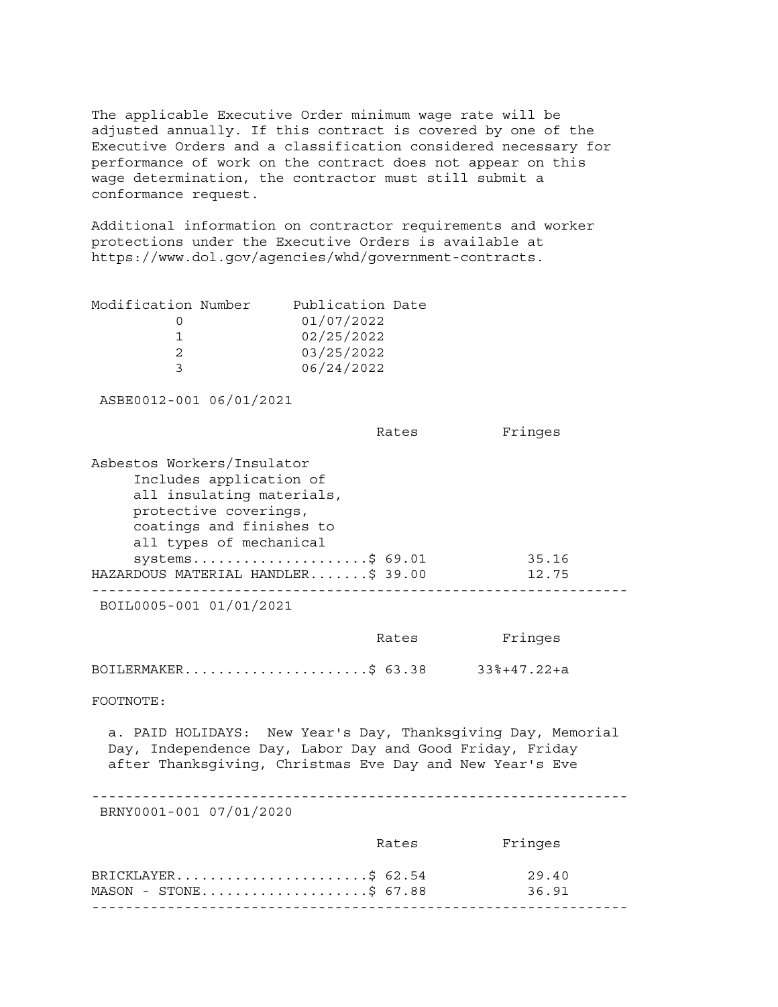The applicable Executive Order minimum wage rate will be adjusted annually. If this contract is covered by one of the Executive Orders and a classification considered necessary for performance of work on the contract does not appear on this wage determination, the contractor must still submit a conformance request.

Additional information on contractor requirements and worker protections under the Executive Orders is available at https://www.dol.gov/agencies/whd/government-contracts.

| Modification Number | Publication Date |
|---------------------|------------------|
|                     | 01/07/2022       |
|                     | 02/25/2022       |
|                     | 03/25/2022       |
|                     | 06/24/2022       |

ASBE0012-001 06/01/2021

|                                    | Rates | Fringes |
|------------------------------------|-------|---------|
| Asbestos Workers/Insulator         |       |         |
| Includes application of            |       |         |
| all insulating materials,          |       |         |
| protective coverings,              |       |         |
| coatings and finishes to           |       |         |
| all types of mechanical            |       |         |
| systems\$ $69.01$                  |       | 35.16   |
| HAZARDOUS MATERIAL HANDLER\$ 39.00 |       | 12.75   |

BOIL0005-001 01/01/2021

|                                 | Rates | Fringes |
|---------------------------------|-------|---------|
| BOILERMAKER\$ 63.38 33%+47.22+a |       |         |

FOOTNOTE:

 a. PAID HOLIDAYS: New Year's Day, Thanksgiving Day, Memorial Day, Independence Day, Labor Day and Good Friday, Friday after Thanksgiving, Christmas Eve Day and New Year's Eve

----------------------------------------------------------------

BRNY0001-001 07/01/2020

|                          | Rates | Fringes |  |
|--------------------------|-------|---------|--|
| BRICKLAYER\$ $62.54$     |       | 29.40   |  |
| $MASON - STONE$ \$ 67.88 |       | 36.91   |  |
|                          |       |         |  |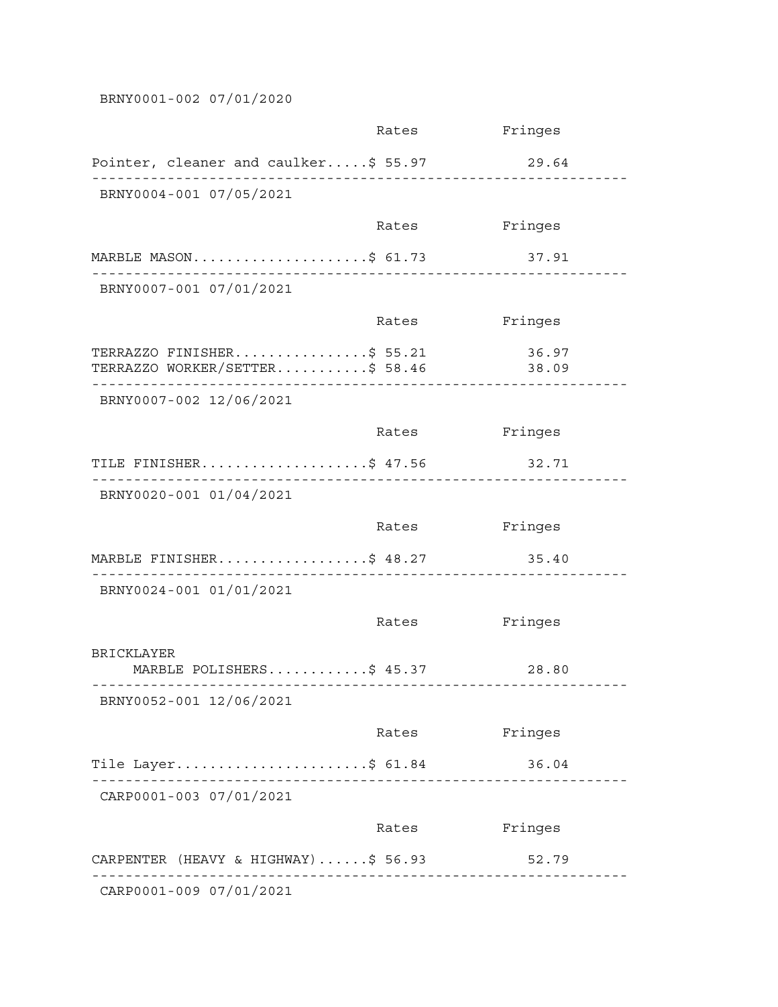BRNY0001-002 07/01/2020

|                                                             | Rates | Fringes        |
|-------------------------------------------------------------|-------|----------------|
| Pointer, cleaner and caulker\$ 55.97                        |       | 29.64          |
| BRNY0004-001 07/05/2021                                     |       |                |
|                                                             | Rates | Fringes        |
| MARBLE MASON\$ 61.73                                        |       | 37.91          |
| BRNY0007-001 07/01/2021                                     |       |                |
|                                                             | Rates | Fringes        |
| TERRAZZO FINISHER\$ 55.21<br>TERRAZZO WORKER/SETTER\$ 58.46 |       | 36.97<br>38.09 |
| BRNY0007-002 12/06/2021                                     |       |                |
|                                                             | Rates | Fringes        |
| TILE FINISHER\$ 47.56                                       |       | 32.71          |
| BRNY0020-001 01/04/2021                                     |       |                |
|                                                             | Rates | Fringes        |
| MARBLE FINISHER\$ 48.27                                     |       | 35.40          |
| BRNY0024-001 01/01/2021                                     |       |                |
|                                                             | Rates | Fringes        |
| <b>BRICKLAYER</b><br>MARBLE POLISHERS\$ 45.37               |       | 28.80          |
| BRNY0052-001 12/06/2021                                     |       |                |
|                                                             | Rates | Fringes        |
| Tile Layer\$ 61.84                                          |       | 36.04          |
| CARP0001-003 07/01/2021                                     |       |                |
|                                                             | Rates | Fringes        |
| CARPENTER (HEAVY & HIGHWAY)\$ 56.93                         |       | 52.79          |
| CARP0001-009 07/01/2021                                     |       |                |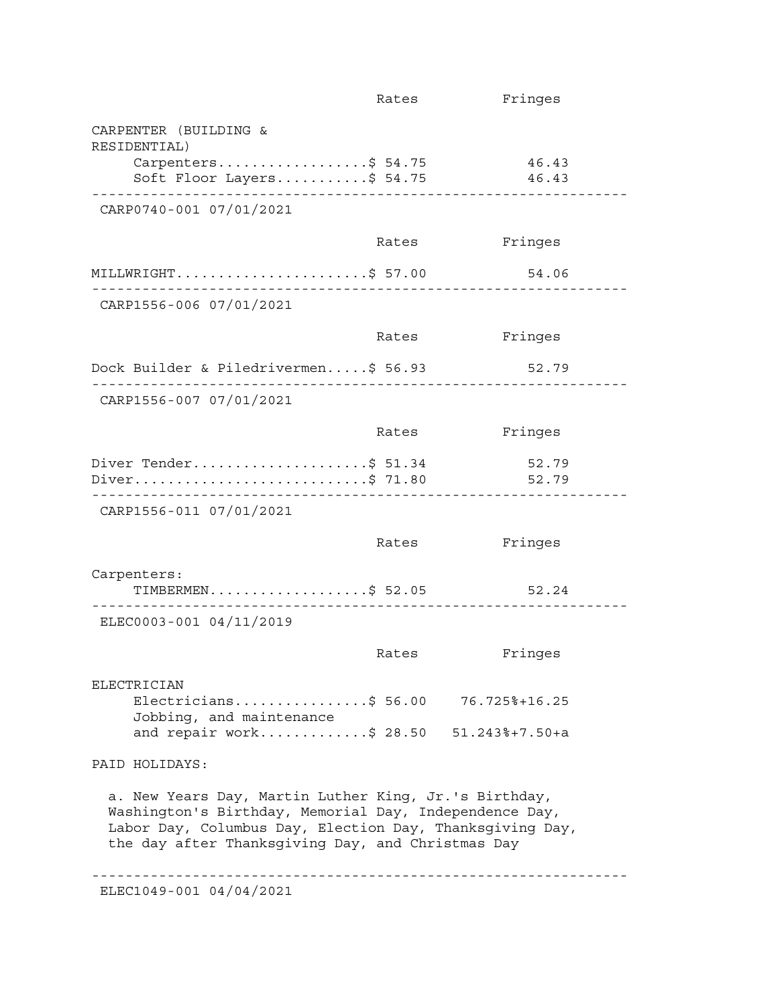|                                                                                                                                                                                                                                  | Rates | Fringes |
|----------------------------------------------------------------------------------------------------------------------------------------------------------------------------------------------------------------------------------|-------|---------|
| CARPENTER (BUILDING &<br>RESIDENTIAL)                                                                                                                                                                                            |       |         |
| Carpenters\$ $54.75$                                                                                                                                                                                                             |       | 46.43   |
| Soft Floor Layers\$ 54.75                                                                                                                                                                                                        |       | 46.43   |
| CARP0740-001 07/01/2021                                                                                                                                                                                                          |       |         |
|                                                                                                                                                                                                                                  | Rates | Fringes |
| MILLWRIGHT\$ 57.00<br>_ _ _ _ <b>_ _ _ _ _ _ _ _ _ _ _</b> _                                                                                                                                                                     |       | 54.06   |
| CARP1556-006 07/01/2021                                                                                                                                                                                                          |       |         |
|                                                                                                                                                                                                                                  | Rates | Fringes |
| Dock Builder & Piledrivermen\$ 56.93                                                                                                                                                                                             |       | 52.79   |
| CARP1556-007 07/01/2021                                                                                                                                                                                                          |       |         |
|                                                                                                                                                                                                                                  | Rates | Fringes |
| Diver Tender\$ 51.34                                                                                                                                                                                                             |       | 52.79   |
| $Diver$ \$71.80                                                                                                                                                                                                                  |       | 52.79   |
| CARP1556-011 07/01/2021                                                                                                                                                                                                          |       |         |
|                                                                                                                                                                                                                                  | Rates | Fringes |
| Carpenters:<br>TIMBERMEN\$ 52.05                                                                                                                                                                                                 |       | 52.24   |
| ELEC0003-001 04/11/2019                                                                                                                                                                                                          |       |         |
|                                                                                                                                                                                                                                  | Rates | Fringes |
| ELECTRICIAN<br>Electricians\$ 56.00 76.725%+16.25<br>Jobbing, and maintenance<br>and repair work\$ 28.50 51.243%+7.50+a                                                                                                          |       |         |
| PAID HOLIDAYS:                                                                                                                                                                                                                   |       |         |
| a. New Years Day, Martin Luther King, Jr.'s Birthday,<br>Washington's Birthday, Memorial Day, Independence Day,<br>Labor Day, Columbus Day, Election Day, Thanksgiving Day,<br>the day after Thanksgiving Day, and Christmas Day |       |         |
| ELEC1049-001 04/04/2021                                                                                                                                                                                                          |       |         |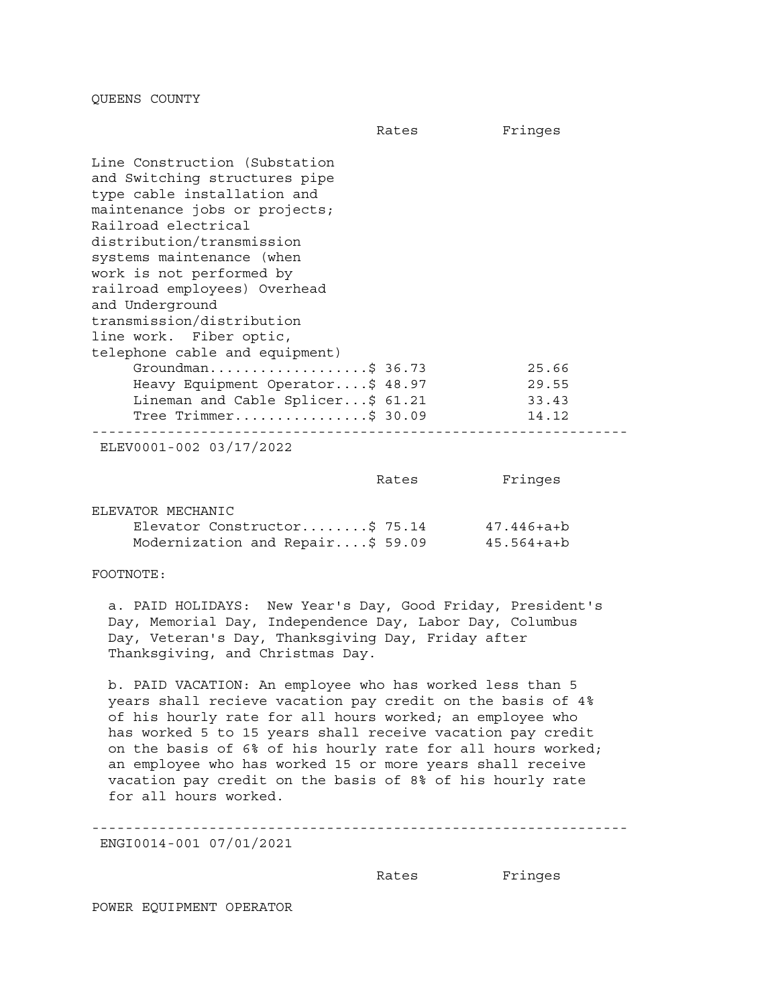QUEENS COUNTY

|                                                                                                                                                                                                                                                                                                                                                                                                                                                                                                                | Rates | Fringes                          |
|----------------------------------------------------------------------------------------------------------------------------------------------------------------------------------------------------------------------------------------------------------------------------------------------------------------------------------------------------------------------------------------------------------------------------------------------------------------------------------------------------------------|-------|----------------------------------|
| Line Construction (Substation<br>and Switching structures pipe<br>type cable installation and<br>maintenance jobs or projects;<br>Railroad electrical<br>distribution/transmission<br>systems maintenance (when<br>work is not performed by<br>railroad employees) Overhead<br>and Underground<br>transmission/distribution<br>line work. Fiber optic,<br>telephone cable and equipment)<br>Groundman\$ 36.73<br>Heavy Equipment Operator\$ 48.97<br>Lineman and Cable Splicer\$ 61.21<br>Tree Trimmer\$ 30.09 |       | 25.66<br>29.55<br>33.43<br>14.12 |
|                                                                                                                                                                                                                                                                                                                                                                                                                                                                                                                |       |                                  |

ELEV0001-002 03/17/2022

|                                  | Rates | Fringes          |
|----------------------------------|-------|------------------|
| ELEVATOR MECHANIC                |       |                  |
| Elevator Constructor\$ 75.14     |       | 47.446+a+b       |
| Modernization and Repair\$ 59.09 |       | $45.564 + a + b$ |

FOOTNOTE:

 a. PAID HOLIDAYS: New Year's Day, Good Friday, President's Day, Memorial Day, Independence Day, Labor Day, Columbus Day, Veteran's Day, Thanksgiving Day, Friday after Thanksgiving, and Christmas Day.

 b. PAID VACATION: An employee who has worked less than 5 years shall recieve vacation pay credit on the basis of 4% of his hourly rate for all hours worked; an employee who has worked 5 to 15 years shall receive vacation pay credit on the basis of 6% of his hourly rate for all hours worked; an employee who has worked 15 or more years shall receive vacation pay credit on the basis of 8% of his hourly rate for all hours worked.

---------------------------------------------------------------- ENGI0014-001 07/01/2021

Rates Fringes

POWER EQUIPMENT OPERATOR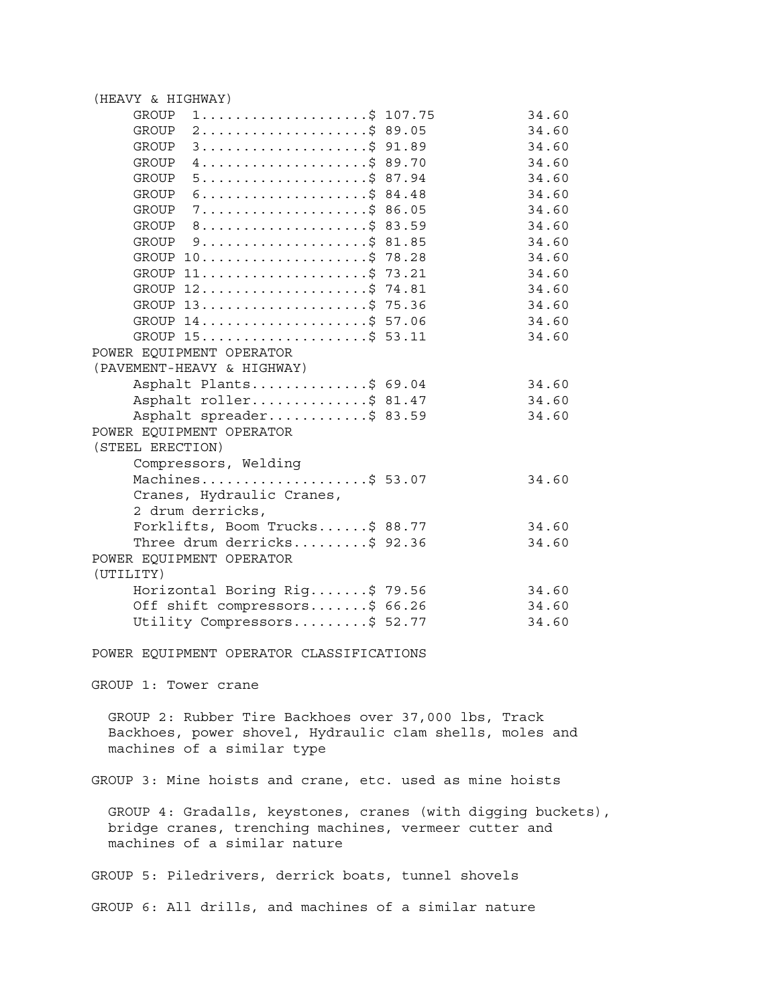| (HEAVY & HIGHWAY)                                                                                                                                     |       |
|-------------------------------------------------------------------------------------------------------------------------------------------------------|-------|
| GROUP $1 \ldots \ldots \ldots \ldots \ldots \ldots$ ; $\frac{107.75}{107.75}$                                                                         | 34.60 |
| $GROUP$ 2\$ 89.05                                                                                                                                     | 34.60 |
| GROUP 3\$91.89                                                                                                                                        | 34.60 |
| GROUP 4\$ 89.70                                                                                                                                       | 34.60 |
| GROUP 5\$ 87.94                                                                                                                                       | 34.60 |
| $6$ \$ 84.48<br>GROUP                                                                                                                                 | 34.60 |
| $7.\dots\dots\dots$ ; 86.05<br>GROUP                                                                                                                  | 34.60 |
| $8$ ; 83.59<br>GROUP                                                                                                                                  | 34.60 |
| 9<br>GROUP                                                                                                                                            | 34.60 |
| GROUP 10\$ 78.28                                                                                                                                      | 34.60 |
| GROUP $11$ \$ 73.21                                                                                                                                   | 34.60 |
| GROUP 12\$ 74.81                                                                                                                                      | 34.60 |
| GROUP 13\$ 75.36<br>34.60                                                                                                                             |       |
|                                                                                                                                                       |       |
| GROUP 14\$ 57.06                                                                                                                                      | 34.60 |
| GROUP 15\$ 53.11                                                                                                                                      | 34.60 |
| POWER EQUIPMENT OPERATOR                                                                                                                              |       |
| (PAVEMENT-HEAVY & HIGHWAY)                                                                                                                            |       |
| Asphalt Plants\$ 69.04                                                                                                                                | 34.60 |
| Asphalt roller\$ 81.47                                                                                                                                | 34.60 |
| Asphalt spreader\$ 83.59                                                                                                                              | 34.60 |
| POWER EQUIPMENT OPERATOR                                                                                                                              |       |
| (STEEL ERECTION)                                                                                                                                      |       |
| Compressors, Welding                                                                                                                                  |       |
| Machines\$ 53.07                                                                                                                                      | 34.60 |
| Cranes, Hydraulic Cranes,                                                                                                                             |       |
| 2 drum derricks,                                                                                                                                      |       |
| Forklifts, Boom Trucks $$88.77$ 34.60                                                                                                                 |       |
| Three drum derricks\$ 92.36                                                                                                                           | 34.60 |
| POWER EQUIPMENT OPERATOR                                                                                                                              |       |
| (UTILITY)                                                                                                                                             |       |
| Horizontal Boring Rig\$ 79.56                                                                                                                         | 34.60 |
| Off shift compressors\$ 66.26                                                                                                                         | 34.60 |
| Utility Compressors\$ 52.77                                                                                                                           | 34.60 |
|                                                                                                                                                       |       |
| POWER EQUIPMENT OPERATOR CLASSIFICATIONS                                                                                                              |       |
| GROUP 1: Tower crane                                                                                                                                  |       |
| GROUP 2: Rubber Tire Backhoes over 37,000 lbs, Track<br>Backhoes, power shovel, Hydraulic clam shells, moles and<br>machines of a similar type        |       |
| GROUP 3: Mine hoists and crane, etc. used as mine hoists                                                                                              |       |
| GROUP 4: Gradalls, keystones, cranes (with digging buckets),<br>bridge cranes, trenching machines, vermeer cutter and<br>machines of a similar nature |       |
| GROUP 5: Piledrivers, derrick boats, tunnel shovels                                                                                                   |       |
| GROUP 6: All drills, and machines of a similar nature                                                                                                 |       |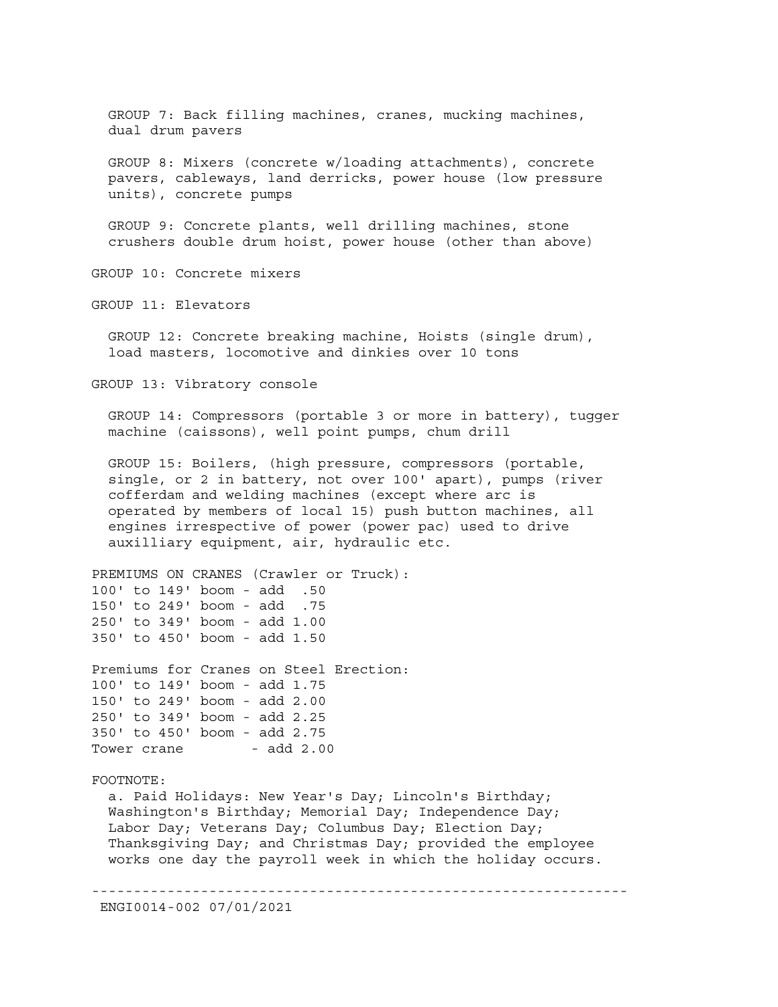GROUP 7: Back filling machines, cranes, mucking machines, dual drum pavers GROUP 8: Mixers (concrete w/loading attachments), concrete pavers, cableways, land derricks, power house (low pressure units), concrete pumps GROUP 9: Concrete plants, well drilling machines, stone crushers double drum hoist, power house (other than above) GROUP 10: Concrete mixers GROUP 11: Elevators GROUP 12: Concrete breaking machine, Hoists (single drum), load masters, locomotive and dinkies over 10 tons GROUP 13: Vibratory console GROUP 14: Compressors (portable 3 or more in battery), tugger machine (caissons), well point pumps, chum drill GROUP 15: Boilers, (high pressure, compressors (portable, single, or 2 in battery, not over 100' apart), pumps (river cofferdam and welding machines (except where arc is operated by members of local 15) push button machines, all engines irrespective of power (power pac) used to drive auxilliary equipment, air, hydraulic etc. PREMIUMS ON CRANES (Crawler or Truck): 100' to 149' boom - add .50 150' to 249' boom - add .75 250' to 349' boom - add 1.00 350' to 450' boom - add 1.50 Premiums for Cranes on Steel Erection: 100' to 149' boom - add 1.75 150' to 249' boom - add 2.00 250' to 349' boom - add 2.25 350' to 450' boom - add 2.75 Tower crane  $-$  add 2.00 FOOTNOTE: a. Paid Holidays: New Year's Day; Lincoln's Birthday; Washington's Birthday; Memorial Day; Independence Day; Labor Day; Veterans Day; Columbus Day; Election Day; Thanksgiving Day; and Christmas Day; provided the employee works one day the payroll week in which the holiday occurs. ----------------------------------------------------------------

ENGI0014-002 07/01/2021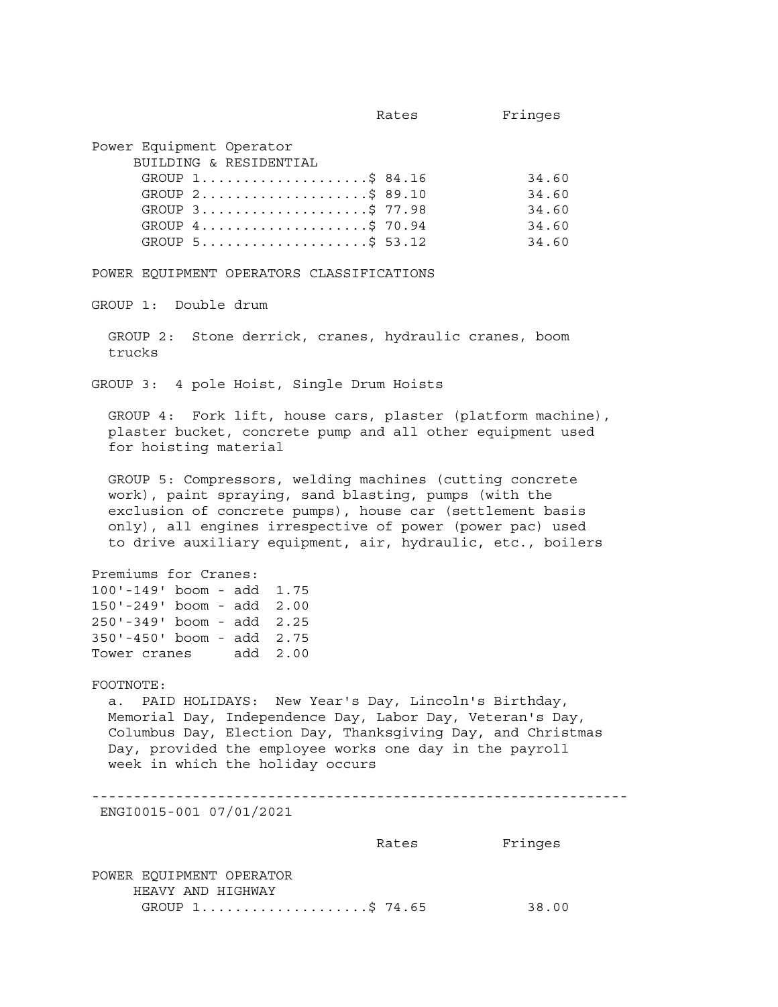Fringes

Power Equipment Operator

|  |  | BUILDING & RESIDENTIAL |
|--|--|------------------------|
|--|--|------------------------|

| GROUP 1\$ 84.16   | 34.60 |
|-------------------|-------|
| GROUP 2\$ 89.10   | 34.60 |
| GROUP 3\$ 77.98   | 34.60 |
| GROUP 4\$ 70.94   | 34.60 |
| $GROUP 5$ \$53.12 | 34.60 |

POWER EQUIPMENT OPERATORS CLASSIFICATIONS

GROUP 1: Double drum

 GROUP 2: Stone derrick, cranes, hydraulic cranes, boom trucks

GROUP 3: 4 pole Hoist, Single Drum Hoists

 GROUP 4: Fork lift, house cars, plaster (platform machine), plaster bucket, concrete pump and all other equipment used for hoisting material

 GROUP 5: Compressors, welding machines (cutting concrete work), paint spraying, sand blasting, pumps (with the exclusion of concrete pumps), house car (settlement basis only), all engines irrespective of power (power pac) used to drive auxiliary equipment, air, hydraulic, etc., boilers

Premiums for Cranes: 100'-149' boom - add 1.75 150'-249' boom - add 2.00 250'-349' boom - add 2.25 350'-450' boom - add 2.75 Tower cranes add 2.00

## FOOTNOTE:

 a. PAID HOLIDAYS: New Year's Day, Lincoln's Birthday, Memorial Day, Independence Day, Labor Day, Veteran's Day, Columbus Day, Election Day, Thanksgiving Day, and Christmas Day, provided the employee works one day in the payroll week in which the holiday occurs

----------------------------------------------------------------

ENGI0015-001 07/01/2021

|                                                    | Rates | Fringes |
|----------------------------------------------------|-------|---------|
| POWER EOUIPMENT OPERATOR<br>HEAVY AND HIGHWAY      |       |         |
| GROUP $1, \ldots, \ldots, \ldots, \ldots, \$ 74.65 |       | 38.00   |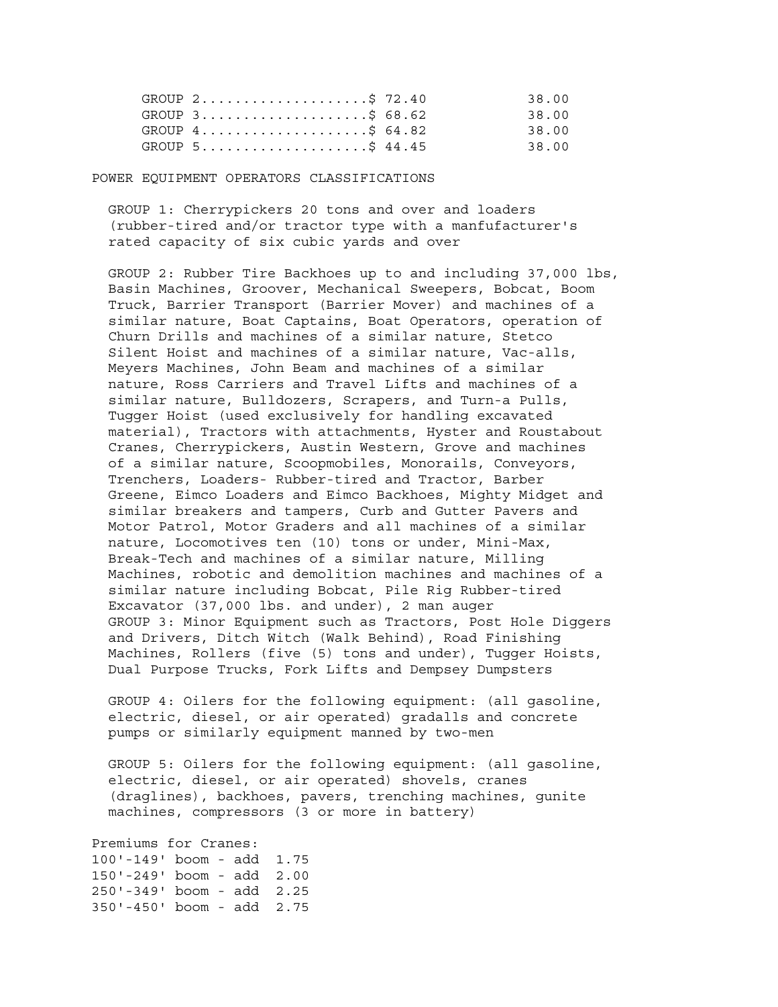| GROUP $2, \ldots, \ldots, \ldots, \ldots, \text{S}$ 72.40          | 38.00 |
|--------------------------------------------------------------------|-------|
| GROUP 3\$ 68.62                                                    | 38.00 |
| GROUP $4 \ldots \ldots \ldots \ldots \ldots \ldots$ \$ 64.82       | 38.00 |
| GROUP $5 \ldots \ldots \ldots \ldots \ldots \ldots \text{S}$ 44.45 | 38.00 |

#### POWER EQUIPMENT OPERATORS CLASSIFICATIONS

 GROUP 1: Cherrypickers 20 tons and over and loaders (rubber-tired and/or tractor type with a manfufacturer's rated capacity of six cubic yards and over

 GROUP 2: Rubber Tire Backhoes up to and including 37,000 lbs, Basin Machines, Groover, Mechanical Sweepers, Bobcat, Boom Truck, Barrier Transport (Barrier Mover) and machines of a similar nature, Boat Captains, Boat Operators, operation of Churn Drills and machines of a similar nature, Stetco Silent Hoist and machines of a similar nature, Vac-alls, Meyers Machines, John Beam and machines of a similar nature, Ross Carriers and Travel Lifts and machines of a similar nature, Bulldozers, Scrapers, and Turn-a Pulls, Tugger Hoist (used exclusively for handling excavated material), Tractors with attachments, Hyster and Roustabout Cranes, Cherrypickers, Austin Western, Grove and machines of a similar nature, Scoopmobiles, Monorails, Conveyors, Trenchers, Loaders- Rubber-tired and Tractor, Barber Greene, Eimco Loaders and Eimco Backhoes, Mighty Midget and similar breakers and tampers, Curb and Gutter Pavers and Motor Patrol, Motor Graders and all machines of a similar nature, Locomotives ten (10) tons or under, Mini-Max, Break-Tech and machines of a similar nature, Milling Machines, robotic and demolition machines and machines of a similar nature including Bobcat, Pile Rig Rubber-tired Excavator (37,000 lbs. and under), 2 man auger GROUP 3: Minor Equipment such as Tractors, Post Hole Diggers and Drivers, Ditch Witch (Walk Behind), Road Finishing Machines, Rollers (five (5) tons and under), Tugger Hoists, Dual Purpose Trucks, Fork Lifts and Dempsey Dumpsters

 GROUP 4: Oilers for the following equipment: (all gasoline, electric, diesel, or air operated) gradalls and concrete pumps or similarly equipment manned by two-men

 GROUP 5: Oilers for the following equipment: (all gasoline, electric, diesel, or air operated) shovels, cranes (draglines), backhoes, pavers, trenching machines, gunite machines, compressors (3 or more in battery)

Premiums for Cranes: 100'-149' boom - add 1.75 150'-249' boom - add 2.00 250'-349' boom - add 2.25 350'-450' boom - add 2.75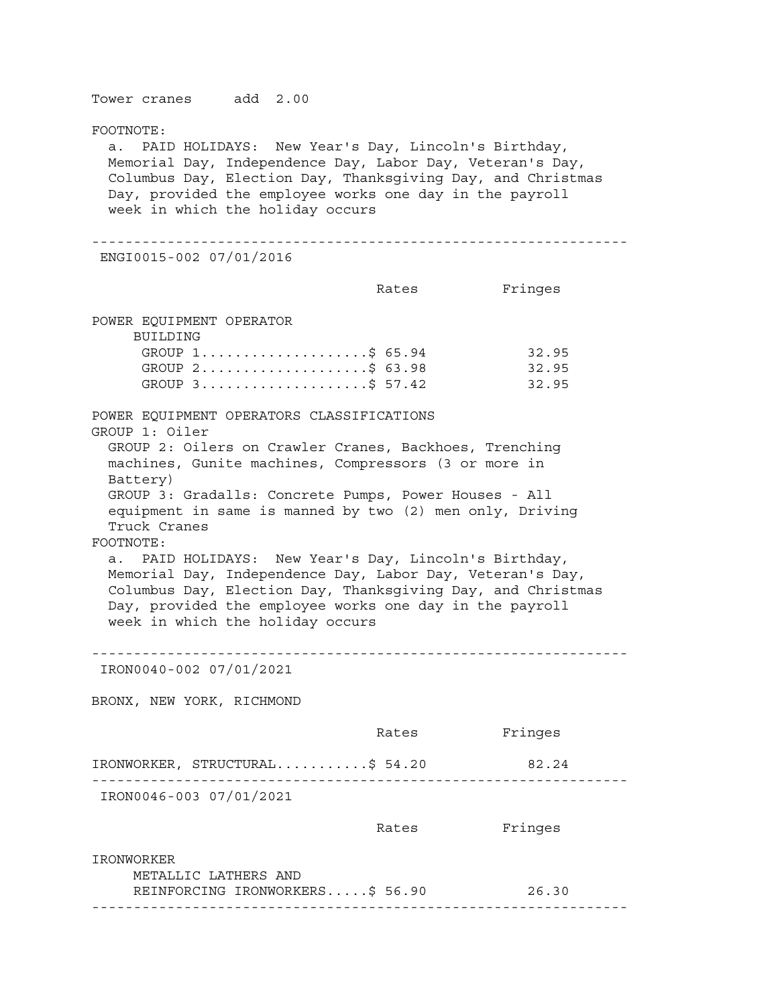Tower cranes add 2.00

FOOTNOTE:

 a. PAID HOLIDAYS: New Year's Day, Lincoln's Birthday, Memorial Day, Independence Day, Labor Day, Veteran's Day, Columbus Day, Election Day, Thanksgiving Day, and Christmas Day, provided the employee works one day in the payroll week in which the holiday occurs

---------------------------------------------------------------- ENGI0015-002 07/01/2016

 Rates Fringes POWER EQUIPMENT OPERATOR BUILDING GROUP 1.......................\$ 65.94 32.95 GROUP 2........................\$ 63.98 32.95 GROUP 3.........................\$ 57.42 32.95 POWER EQUIPMENT OPERATORS CLASSIFICATIONS GROUP 1: Oiler GROUP 2: Oilers on Crawler Cranes, Backhoes, Trenching machines, Gunite machines, Compressors (3 or more in Battery) GROUP 3: Gradalls: Concrete Pumps, Power Houses - All equipment in same is manned by two (2) men only, Driving Truck Cranes FOOTNOTE: a. PAID HOLIDAYS: New Year's Day, Lincoln's Birthday, Memorial Day, Independence Day, Labor Day, Veteran's Day, Columbus Day, Election Day, Thanksgiving Day, and Christmas Day, provided the employee works one day in the payroll week in which the holiday occurs ----------------------------------------------------------------

IRON0040-002 07/01/2021

BRONX, NEW YORK, RICHMOND

|                                    | Rates | Fringes |
|------------------------------------|-------|---------|
| IRONWORKER, STRUCTURAL\$ 54.20     |       | 82.24   |
| IRON0046-003 07/01/2021            |       |         |
|                                    | Rates | Fringes |
| IRONWORKER<br>METALLIC LATHERS AND |       |         |
| REINFORCING IRONWORKERS\$ 56.90    |       | 26.30   |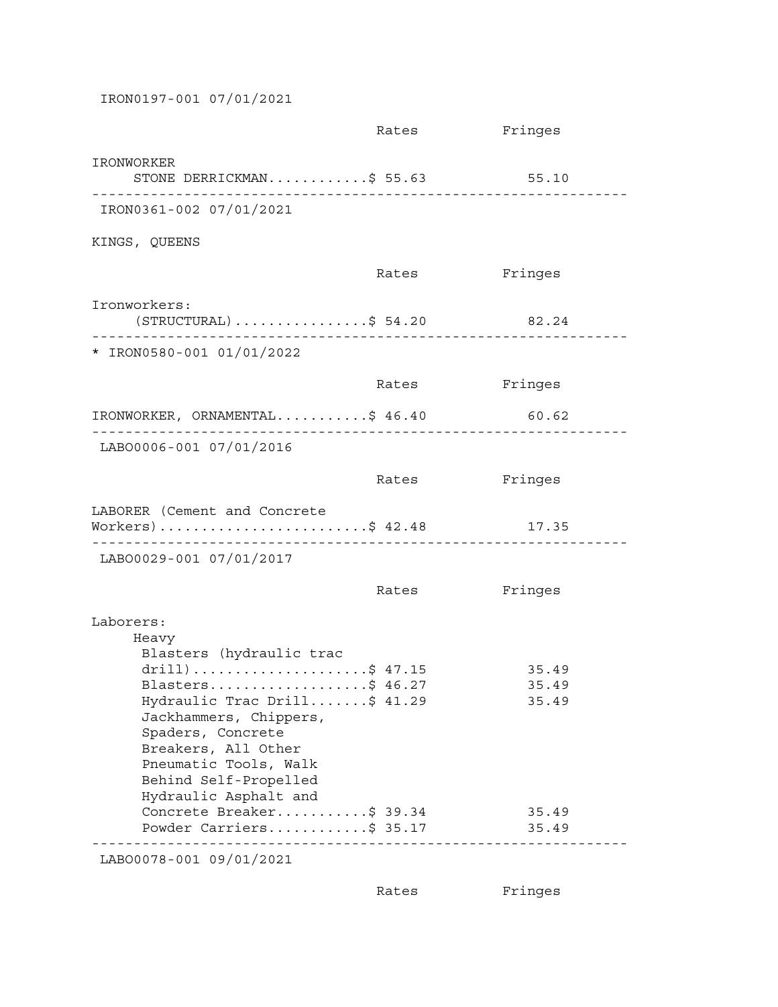IRON0197-001 07/01/2021

|                                                                                                                                                                      | Rates | Fringes                 |
|----------------------------------------------------------------------------------------------------------------------------------------------------------------------|-------|-------------------------|
| IRONWORKER<br>STONE DERRICKMAN\$ 55.63                                                                                                                               |       | 55.10                   |
| IRON0361-002 07/01/2021                                                                                                                                              |       |                         |
| KINGS, QUEENS                                                                                                                                                        |       |                         |
|                                                                                                                                                                      | Rates | Fringes                 |
| Ironworkers:<br>$(STRUCTURAL) \ldots \ldots \ldots \ldots \$ 54.20                                                                                                   |       | 82.24                   |
| * IRON0580-001 01/01/2022                                                                                                                                            |       |                         |
|                                                                                                                                                                      | Rates | Fringes                 |
| IRONWORKER, ORNAMENTAL\$ 46.40                                                                                                                                       |       | 60.62                   |
| LAB00006-001 07/01/2016                                                                                                                                              |       |                         |
|                                                                                                                                                                      | Rates | Fringes                 |
| LABORER (Cement and Concrete<br>$Workers)$ \$ 42.48                                                                                                                  |       | 17.35                   |
| LABO0029-001 07/01/2017                                                                                                                                              |       |                         |
|                                                                                                                                                                      | Rates | Fringes                 |
| Laborers:<br>Heavy<br>Blasters (hydraulic trac                                                                                                                       |       |                         |
| $drill)$ \$ 47.15<br>Blasters\$ 46.27<br>Hydraulic Trac Drill\$ 41.29<br>Jackhammers, Chippers,<br>Spaders, Concrete<br>Breakers, All Other<br>Pneumatic Tools, Walk |       | 35.49<br>35.49<br>35.49 |
| Behind Self-Propelled<br>Hydraulic Asphalt and<br>Concrete Breaker\$ 39.34<br>Powder Carriers\$ 35.17<br>LAB00078-001 09/01/2021                                     |       | 35.49<br>35.49          |

Rates Fringes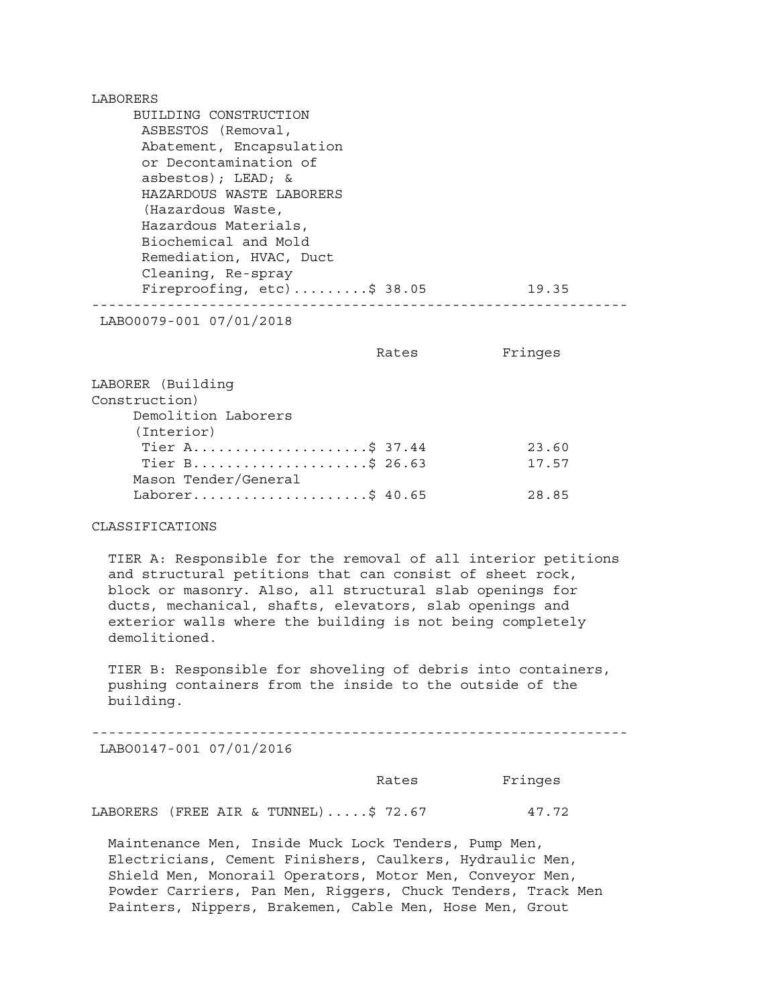| <b>LABORERS</b>               |       |
|-------------------------------|-------|
| BUILDING CONSTRUCTION         |       |
| ASBESTOS (Removal,            |       |
| Abatement, Encapsulation      |       |
| or Decontamination of         |       |
| $abstos)$ ; LEAD; &           |       |
| HAZARDOUS WASTE LABORERS      |       |
| (Hazardous Waste,             |       |
| Hazardous Materials,          |       |
| Biochemical and Mold          |       |
| Remediation, HVAC, Duct       |       |
| Cleaning, Re-spray            |       |
| Fireproofing, $etc$ )\$ 38.05 | 19.35 |
|                               |       |
| LAB00079-001 07/01/2018       |       |
|                               |       |

Rates Fringes

| LABORER (Building    |       |
|----------------------|-------|
| Construction)        |       |
| Demolition Laborers  |       |
| (Interior)           |       |
| Tier $A$ \$ 37.44    | 23.60 |
| Tier B\$ 26.63       | 17.57 |
| Mason Tender/General |       |
| Laborer\$ 40.65      | 28.85 |

### CLASSIFICATIONS

 TIER A: Responsible for the removal of all interior petitions and structural petitions that can consist of sheet rock, block or masonry. Also, all structural slab openings for ducts, mechanical, shafts, elevators, slab openings and exterior walls where the building is not being completely demolitioned.

 TIER B: Responsible for shoveling of debris into containers, pushing containers from the inside to the outside of the building.

----------------------------------------------------------------

LABO0147-001 07/01/2016

Rates Fringes

LABORERS (FREE AIR & TUNNEL).....\$ 72.67 47.72

 Maintenance Men, Inside Muck Lock Tenders, Pump Men, Electricians, Cement Finishers, Caulkers, Hydraulic Men, Shield Men, Monorail Operators, Motor Men, Conveyor Men, Powder Carriers, Pan Men, Riggers, Chuck Tenders, Track Men Painters, Nippers, Brakemen, Cable Men, Hose Men, Grout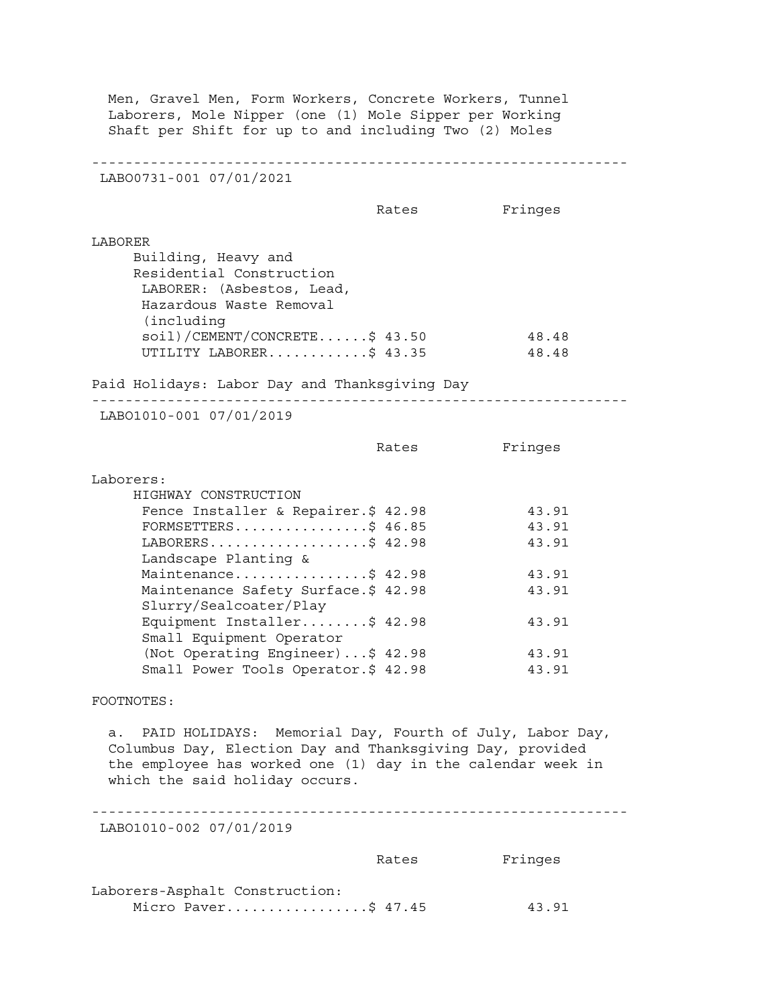Men, Gravel Men, Form Workers, Concrete Workers, Tunnel Laborers, Mole Nipper (one (1) Mole Sipper per Working Shaft per Shift for up to and including Two (2) Moles ---------------------------------------------------------------- LABO0731-001 07/01/2021 Rates Fringes LABORER Building, Heavy and Residential Construction LABORER: (Asbestos, Lead, Hazardous Waste Removal (including soil)/CEMENT/CONCRETE......\$ 43.50 48.48 UTILITY LABORER...............\$ 43.35 48.48 Paid Holidays: Labor Day and Thanksgiving Day ---------------------------------------------------------------- LABO1010-001 07/01/2019 Rates Fringes Laborers: HIGHWAY CONSTRUCTION Fence Installer & Repairer.\$ 42.98 43.91 FORMSETTERS..................\$ 46.85 43.91 LABORERS.......................\$ 42.98 43.91 Landscape Planting & Maintenance..................\$ 42.98 43.91 Maintenance Safety Surface. \$42.98 43.91 Slurry/Sealcoater/Play Equipment Installer........\$ 42.98 43.91 Small Equipment Operator (Not Operating Engineer)...\$ 42.98 43.91 Small Power Tools Operator.\$ 42.98 43.91 FOOTNOTES: a. PAID HOLIDAYS: Memorial Day, Fourth of July, Labor Day, Columbus Day, Election Day and Thanksgiving Day, provided the employee has worked one (1) day in the calendar week in which the said holiday occurs. ---------------------------------------------------------------- LABO1010-002 07/01/2019 Rates Fringes Laborers-Asphalt Construction: Micro Paver...................\$ 47.45 43.91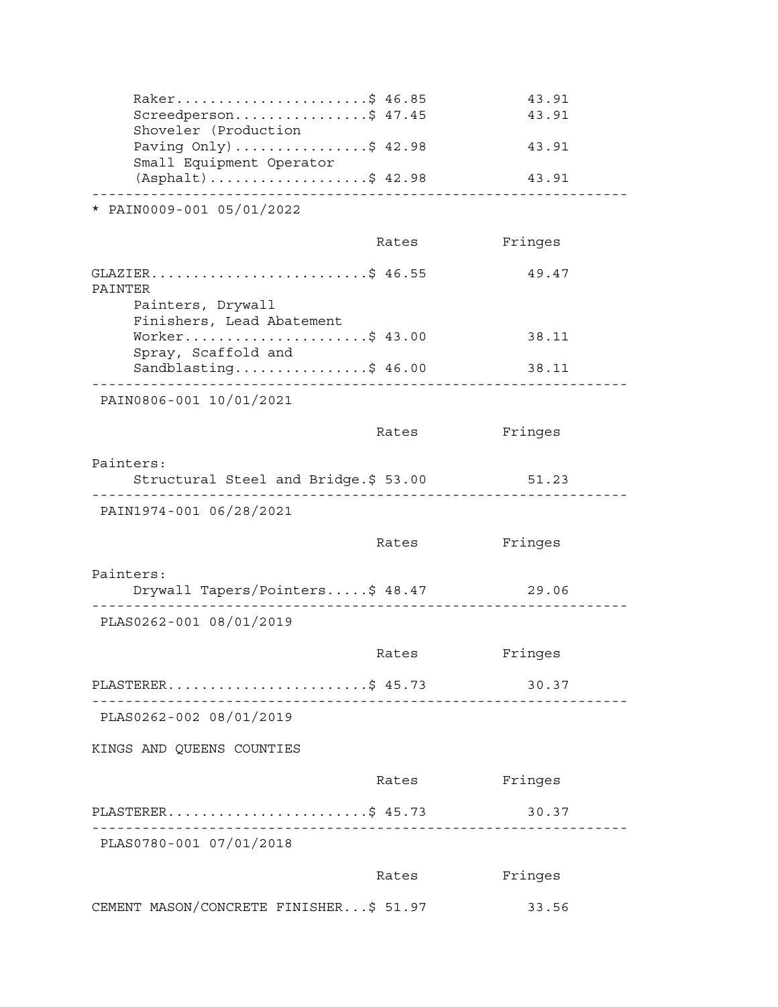| Raker\$ 46.85<br>Screedperson\$ 47.45                                     |                               | 43.91<br>43.91 |
|---------------------------------------------------------------------------|-------------------------------|----------------|
| Shoveler (Production<br>Paving Only) \$ 42.98<br>Small Equipment Operator |                               | 43.91          |
| $(Asphalt)$ \$ 42.98                                                      |                               | 43.91          |
| PAIN0009-001 05/01/2022                                                   |                               |                |
|                                                                           | Rates                         | Fringes        |
| GLAZIER\$ 46.55<br>PAINTER                                                |                               | 49.47          |
| Painters, Drywall<br>Finishers, Lead Abatement                            |                               |                |
| Worker\$ 43.00<br>Spray, Scaffold and                                     |                               | 38.11          |
| Sandblasting\$ 46.00                                                      |                               | 38.11          |
| PAIN0806-001 10/01/2021                                                   |                               |                |
|                                                                           | Rates                         | Fringes        |
| Painters:<br>Structural Steel and Bridge.\$ 53.00                         |                               | 51.23          |
| PAIN1974-001 06/28/2021                                                   |                               |                |
|                                                                           | Rates                         | Fringes        |
| Painters:<br>Drywall Tapers/Pointers\$ 48.47                              |                               | 29.06          |
| . <u>_ _ _ _ _ _ _ _ _</u> _<br>PLAS0262-001 08/01/2019                   |                               |                |
|                                                                           | Rates                         | Fringes        |
| PLASTERER\$ $45.73$<br>_________________________                          | - - - - - - - - - - - - - - - | 30.37          |
| PLAS0262-002 08/01/2019                                                   |                               |                |
| KINGS AND QUEENS COUNTIES                                                 |                               |                |
|                                                                           | Rates                         | Fringes        |
| PLASTERER\$ $45.73$                                                       |                               | 30.37          |
| PLAS0780-001 07/01/2018                                                   |                               |                |
|                                                                           | Rates                         | Fringes        |
| CEMENT MASON/CONCRETE FINISHER\$ 51.97                                    |                               | 33.56          |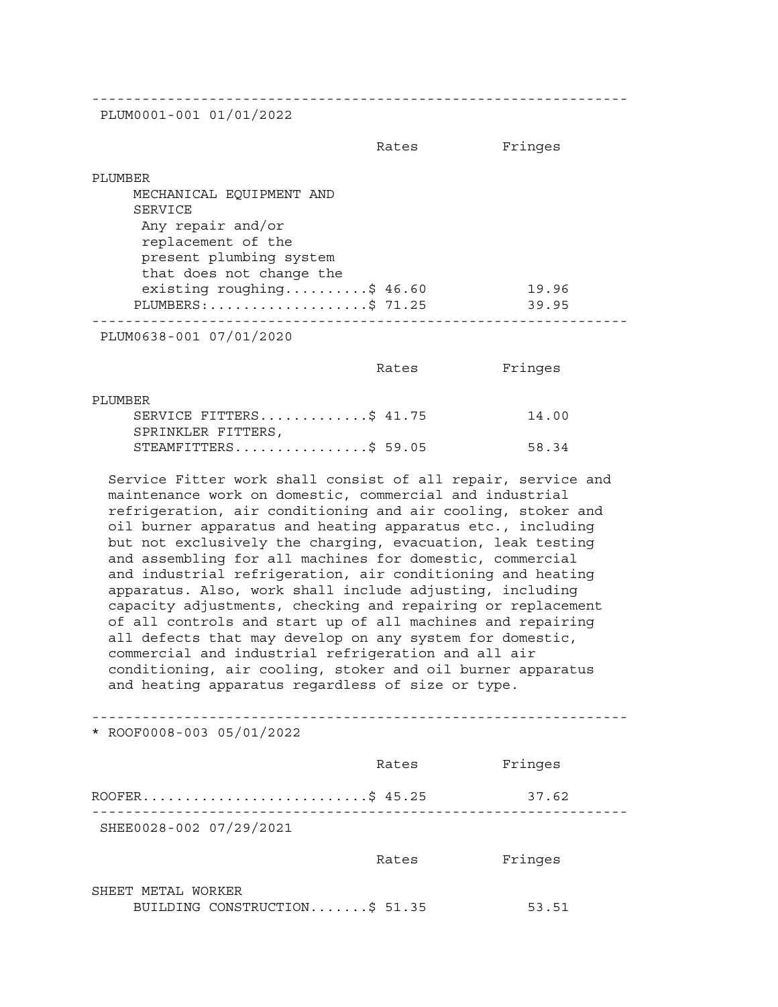----------------------------------------------------------------

PLUM0001-001 01/01/2022

|                           | Rates | Fringes |
|---------------------------|-------|---------|
| PLUMBER                   |       |         |
| MECHANICAL EOUIPMENT AND  |       |         |
| SERVICE                   |       |         |
| Any repair and/or         |       |         |
| replacement of the        |       |         |
| present plumbing system   |       |         |
| that does not change the  |       |         |
| existing roughing\$ 46.60 |       | 19.96   |
| PLUMBERS: \$ 71.25        |       | 39.95   |
| PLUM0638-001 07/01/2020   |       |         |

|                           | Rates | Fringes |
|---------------------------|-------|---------|
| PLUMBER                   |       |         |
| SERVICE FITTERS\$ $41.75$ |       | 14.00   |
| SPRINKLER FITTERS,        |       |         |
| STEAMFITTERS\$ 59.05      |       | 58.34   |

 Service Fitter work shall consist of all repair, service and maintenance work on domestic, commercial and industrial refrigeration, air conditioning and air cooling, stoker and oil burner apparatus and heating apparatus etc., including but not exclusively the charging, evacuation, leak testing and assembling for all machines for domestic, commercial and industrial refrigeration, air conditioning and heating apparatus. Also, work shall include adjusting, including capacity adjustments, checking and repairing or replacement of all controls and start up of all machines and repairing all defects that may develop on any system for domestic, commercial and industrial refrigeration and all air conditioning, air cooling, stoker and oil burner apparatus and heating apparatus regardless of size or type.

---------------------------------------------------------------- \* ROOF0008-003 05/01/2022 Rates Fringes ROOFER...........................\$ 45.25 37.62 ---------------------------------------------------------------- SHEE0028-002 07/29/2021 Rates Fringes

SHEET METAL WORKER BUILDING CONSTRUCTION.......\$ 51.35 53.51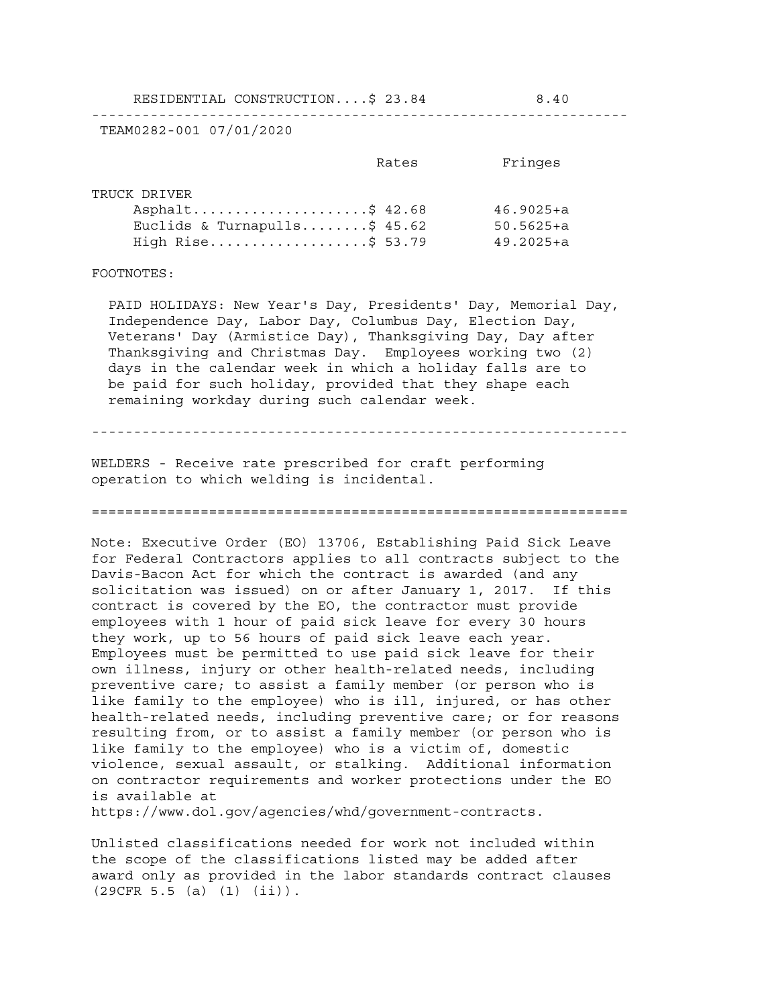RESIDENTIAL CONSTRUCTION....\$ 23.84 8.40

TEAM0282-001 07/01/2020

|                              | Rates | Fringes       |
|------------------------------|-------|---------------|
| TRUCK DRIVER                 |       |               |
| Asphalt\$ 42.68              |       | $46.9025 + a$ |
| Euclids & Turnapulls\$ 45.62 |       | $50.5625 + a$ |
| High Rise\$ 53.79            |       | $49.2025 + a$ |

----------------------------------------------------------------

## FOOTNOTES:

 PAID HOLIDAYS: New Year's Day, Presidents' Day, Memorial Day, Independence Day, Labor Day, Columbus Day, Election Day, Veterans' Day (Armistice Day), Thanksgiving Day, Day after Thanksgiving and Christmas Day. Employees working two (2) days in the calendar week in which a holiday falls are to be paid for such holiday, provided that they shape each remaining workday during such calendar week.

----------------------------------------------------------------

WELDERS - Receive rate prescribed for craft performing operation to which welding is incidental.

================================================================

Note: Executive Order (EO) 13706, Establishing Paid Sick Leave for Federal Contractors applies to all contracts subject to the Davis-Bacon Act for which the contract is awarded (and any solicitation was issued) on or after January 1, 2017. If this contract is covered by the EO, the contractor must provide employees with 1 hour of paid sick leave for every 30 hours they work, up to 56 hours of paid sick leave each year. Employees must be permitted to use paid sick leave for their own illness, injury or other health-related needs, including preventive care; to assist a family member (or person who is like family to the employee) who is ill, injured, or has other health-related needs, including preventive care; or for reasons resulting from, or to assist a family member (or person who is like family to the employee) who is a victim of, domestic violence, sexual assault, or stalking. Additional information on contractor requirements and worker protections under the EO is available at

https://www.dol.gov/agencies/whd/government-contracts.

Unlisted classifications needed for work not included within the scope of the classifications listed may be added after award only as provided in the labor standards contract clauses (29CFR 5.5 (a) (1) (ii)).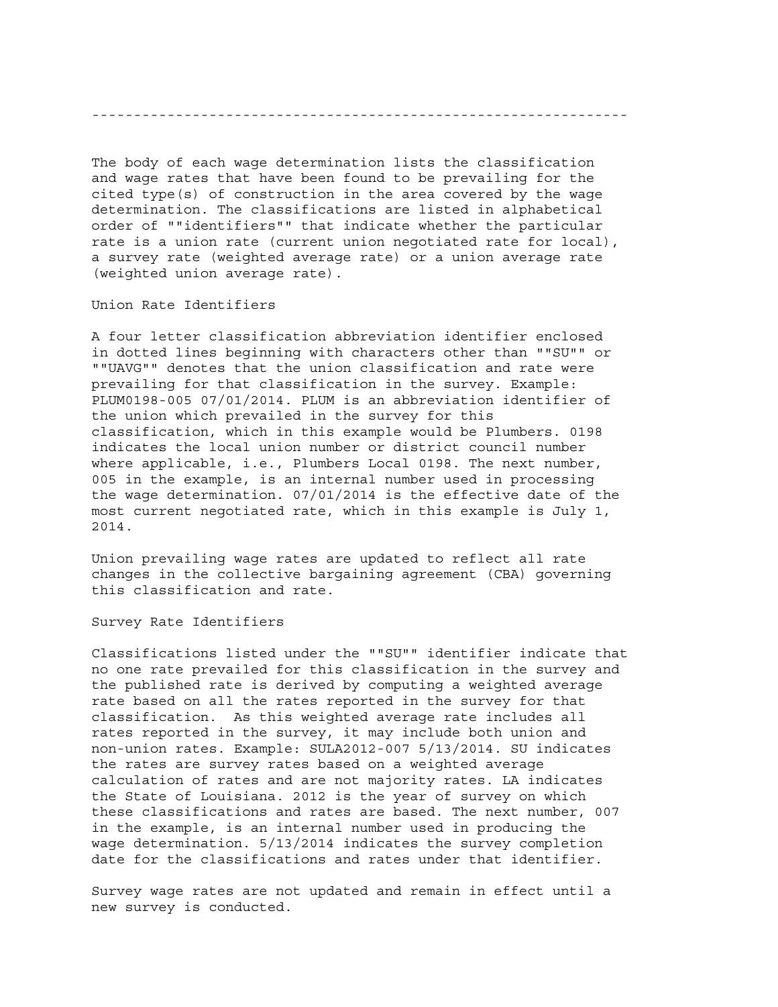----------------------------------------------------------------

The body of each wage determination lists the classification and wage rates that have been found to be prevailing for the cited type(s) of construction in the area covered by the wage determination. The classifications are listed in alphabetical order of ""identifiers"" that indicate whether the particular rate is a union rate (current union negotiated rate for local), a survey rate (weighted average rate) or a union average rate (weighted union average rate).

Union Rate Identifiers

A four letter classification abbreviation identifier enclosed in dotted lines beginning with characters other than ""SU"" or ""UAVG"" denotes that the union classification and rate were prevailing for that classification in the survey. Example: PLUM0198-005 07/01/2014. PLUM is an abbreviation identifier of the union which prevailed in the survey for this classification, which in this example would be Plumbers. 0198 indicates the local union number or district council number where applicable, i.e., Plumbers Local 0198. The next number, 005 in the example, is an internal number used in processing the wage determination. 07/01/2014 is the effective date of the most current negotiated rate, which in this example is July 1, 2014.

Union prevailing wage rates are updated to reflect all rate changes in the collective bargaining agreement (CBA) governing this classification and rate.

Survey Rate Identifiers

Classifications listed under the ""SU"" identifier indicate that no one rate prevailed for this classification in the survey and the published rate is derived by computing a weighted average rate based on all the rates reported in the survey for that classification. As this weighted average rate includes all rates reported in the survey, it may include both union and non-union rates. Example: SULA2012-007 5/13/2014. SU indicates the rates are survey rates based on a weighted average calculation of rates and are not majority rates. LA indicates the State of Louisiana. 2012 is the year of survey on which these classifications and rates are based. The next number, 007 in the example, is an internal number used in producing the wage determination. 5/13/2014 indicates the survey completion date for the classifications and rates under that identifier.

Survey wage rates are not updated and remain in effect until a new survey is conducted.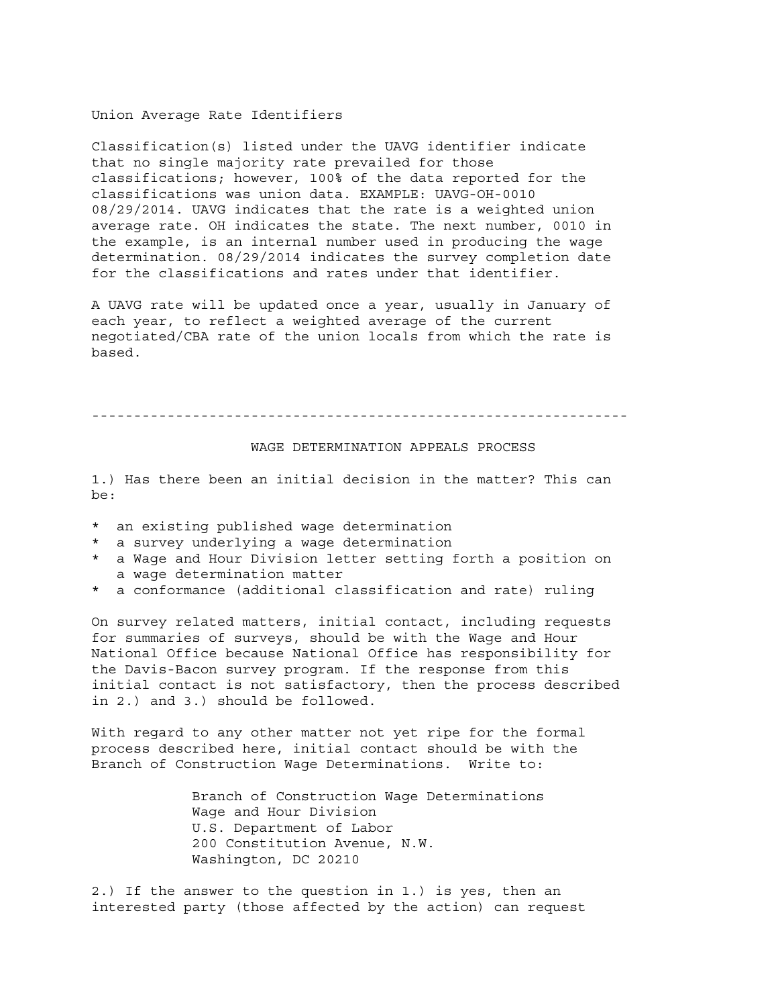### Union Average Rate Identifiers

Classification(s) listed under the UAVG identifier indicate that no single majority rate prevailed for those classifications; however, 100% of the data reported for the classifications was union data. EXAMPLE: UAVG-OH-0010 08/29/2014. UAVG indicates that the rate is a weighted union average rate. OH indicates the state. The next number, 0010 in the example, is an internal number used in producing the wage determination. 08/29/2014 indicates the survey completion date for the classifications and rates under that identifier.

A UAVG rate will be updated once a year, usually in January of each year, to reflect a weighted average of the current negotiated/CBA rate of the union locals from which the rate is based.

----------------------------------------------------------------

# WAGE DETERMINATION APPEALS PROCESS

1.) Has there been an initial decision in the matter? This can be:

- \* an existing published wage determination
- \* a survey underlying a wage determination
- \* a Wage and Hour Division letter setting forth a position on a wage determination matter
- \* a conformance (additional classification and rate) ruling

On survey related matters, initial contact, including requests for summaries of surveys, should be with the Wage and Hour National Office because National Office has responsibility for the Davis-Bacon survey program. If the response from this initial contact is not satisfactory, then the process described in 2.) and 3.) should be followed.

With regard to any other matter not yet ripe for the formal process described here, initial contact should be with the Branch of Construction Wage Determinations. Write to:

> Branch of Construction Wage Determinations Wage and Hour Division U.S. Department of Labor 200 Constitution Avenue, N.W. Washington, DC 20210

2.) If the answer to the question in 1.) is yes, then an interested party (those affected by the action) can request